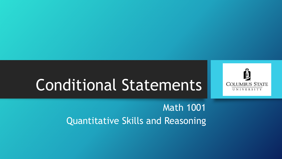# Conditional Statements



#### Math 1001 Quantitative Skills and Reasoning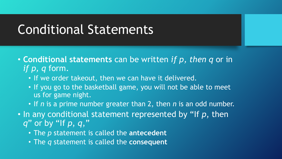## Conditional Statements

- **Conditional statements** can be written *if p, then q* or in *if p, q* form.
	- If we order takeout, then we can have it delivered.
	- If you go to the basketball game, you will not be able to meet us for game night.
	- If *n* is a prime number greater than 2, then *n* is an odd number.
- In any conditional statement represented by "If *p*, then *q*" or by "If *p*, *q*,"
	- The *p* statement is called the **antecedent**
	- The *q* statement is called the **consequent**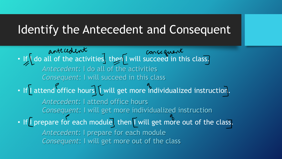#### Identify the Antecedent and Consequent

antecedent consequent<br>• If I do all of the activities then I will succeed in this class. • If I attend office hours I will get more individualized instruction. • If I prepare for each module, then I will get more out of the class. *Antecedent*: I do all of the activities *Consequent*: I will succeed in this class *Antecedent*: I attend office hours *Consequent*: I will get more individualized instruction *Antecedent*: I prepare for each module *Consequent*: I will get more out of the class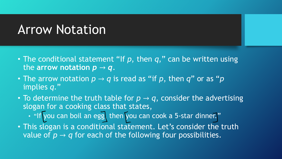### Arrow Notation

- The conditional statement "If *p*, then *q*," can be written using the arrow notation  $p \rightarrow q$ .
- The arrow notation  $p \rightarrow q$  is read as "if p, then  $q$ " or as "p implies *q*."
- To determine the truth table for  $p \rightarrow q$ , consider the advertising slogan for a cooking class that states,
	- "If you can boil an egg, then you can cook a 5-star dinner."
- This slogan is a conditional statement. Let's consider the truth value of  $p \rightarrow q$  for each of the following four possibilities.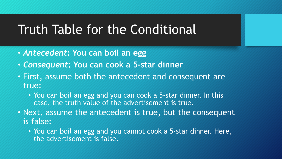### Truth Table for the Conditional

- *Antecedent***: You can boil an egg**
- *Consequent***: You can cook a 5-star dinner**
- First, assume both the antecedent and consequent are true:
	- You can boil an egg and you can cook a 5-star dinner. In this case, the truth value of the advertisement is true.
- Next, assume the antecedent is true, but the consequent is false:
	- You can boil an egg and you cannot cook a 5-star dinner. Here, the advertisement is false.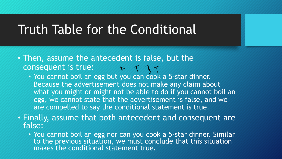### Truth Table for the Conditional

- Then, assume the antecedent is false, but the consequent is true:
	- You cannot boil an egg but you can cook a 5-star dinner. Because the advertisement does not make any claim about what you might or might not be able to do if you cannot boil an egg, we cannot state that the advertisement is false, and we are compelled to say the conditional statement is true.
- Finally, assume that both antecedent and consequent are false:
	- You cannot boil an egg nor can you cook a 5-star dinner. Similar to the previous situation, we must conclude that this situation makes the conditional statement true.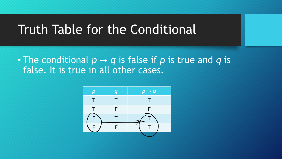#### Truth Table for the Conditional

• The conditional  $p \rightarrow q$  is false if p is true and q is false. It is true in all other cases.